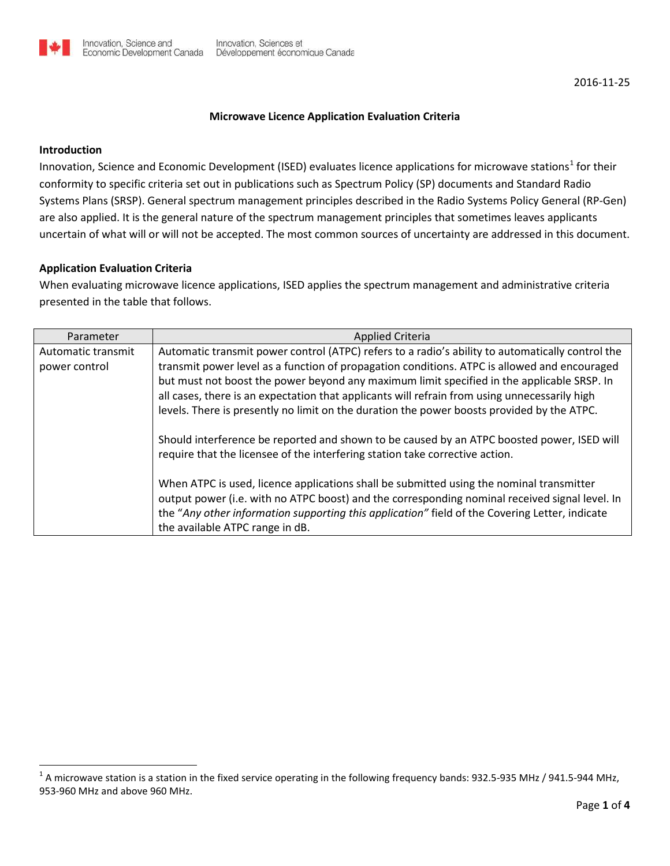## **Microwave Licence Application Evaluation Criteria**

## **Introduction**

Innovation, Science and Economic Development (ISED) evaluates licence applications for microwave stations<sup>[1](#page-0-0)</sup> for their conformity to specific criteria set out in publications such as Spectrum Policy (SP) documents and Standard Radio Systems Plans (SRSP). General spectrum management principles described in the Radio Systems Policy General (RP-Gen) are also applied. It is the general nature of the spectrum management principles that sometimes leaves applicants uncertain of what will or will not be accepted. The most common sources of uncertainty are addressed in this document.

## **Application Evaluation Criteria**

When evaluating microwave licence applications, ISED applies the spectrum management and administrative criteria presented in the table that follows.

| Parameter          | <b>Applied Criteria</b>                                                                          |
|--------------------|--------------------------------------------------------------------------------------------------|
| Automatic transmit | Automatic transmit power control (ATPC) refers to a radio's ability to automatically control the |
| power control      | transmit power level as a function of propagation conditions. ATPC is allowed and encouraged     |
|                    | but must not boost the power beyond any maximum limit specified in the applicable SRSP. In       |
|                    | all cases, there is an expectation that applicants will refrain from using unnecessarily high    |
|                    | levels. There is presently no limit on the duration the power boosts provided by the ATPC.       |
|                    |                                                                                                  |
|                    | Should interference be reported and shown to be caused by an ATPC boosted power, ISED will       |
|                    | require that the licensee of the interfering station take corrective action.                     |
|                    |                                                                                                  |
|                    | When ATPC is used, licence applications shall be submitted using the nominal transmitter         |
|                    | output power (i.e. with no ATPC boost) and the corresponding nominal received signal level. In   |
|                    | the "Any other information supporting this application" field of the Covering Letter, indicate   |
|                    | the available ATPC range in dB.                                                                  |

<span id="page-0-0"></span> 1 A microwave station is a station in the fixed service operating in the following frequency bands: 932.5-935 MHz / 941.5-944 MHz, 953-960 MHz and above 960 MHz.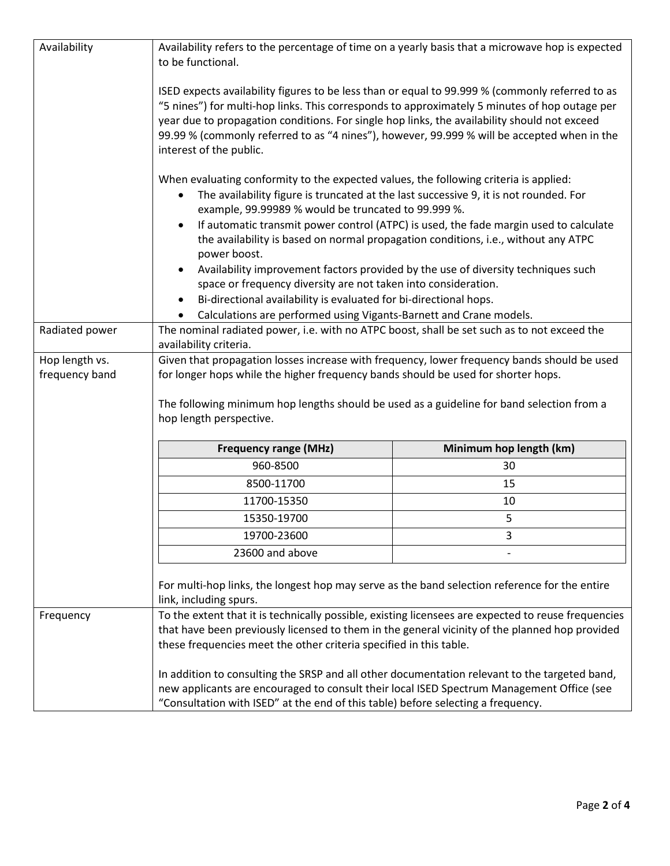| Availability                     | Availability refers to the percentage of time on a yearly basis that a microwave hop is expected<br>to be functional.                                                                                                                                                                                                                                                                                                      |                                                                                   |  |  |
|----------------------------------|----------------------------------------------------------------------------------------------------------------------------------------------------------------------------------------------------------------------------------------------------------------------------------------------------------------------------------------------------------------------------------------------------------------------------|-----------------------------------------------------------------------------------|--|--|
|                                  | ISED expects availability figures to be less than or equal to 99.999 % (commonly referred to as<br>"5 nines") for multi-hop links. This corresponds to approximately 5 minutes of hop outage per<br>year due to propagation conditions. For single hop links, the availability should not exceed<br>99.99 % (commonly referred to as "4 nines"), however, 99.999 % will be accepted when in the<br>interest of the public. |                                                                                   |  |  |
|                                  | When evaluating conformity to the expected values, the following criteria is applied:<br>The availability figure is truncated at the last successive 9, it is not rounded. For<br>$\bullet$<br>example, 99.99989 % would be truncated to 99.999 %.                                                                                                                                                                         |                                                                                   |  |  |
|                                  | If automatic transmit power control (ATPC) is used, the fade margin used to calculate<br>$\bullet$<br>the availability is based on normal propagation conditions, i.e., without any ATPC<br>power boost.                                                                                                                                                                                                                   |                                                                                   |  |  |
|                                  | $\bullet$<br>space or frequency diversity are not taken into consideration.                                                                                                                                                                                                                                                                                                                                                | Availability improvement factors provided by the use of diversity techniques such |  |  |
|                                  | Bi-directional availability is evaluated for bi-directional hops.<br>Calculations are performed using Vigants-Barnett and Crane models.                                                                                                                                                                                                                                                                                    |                                                                                   |  |  |
| Radiated power                   | The nominal radiated power, i.e. with no ATPC boost, shall be set such as to not exceed the                                                                                                                                                                                                                                                                                                                                |                                                                                   |  |  |
|                                  | availability criteria.                                                                                                                                                                                                                                                                                                                                                                                                     |                                                                                   |  |  |
| Hop length vs.<br>frequency band | Given that propagation losses increase with frequency, lower frequency bands should be used<br>for longer hops while the higher frequency bands should be used for shorter hops.<br>The following minimum hop lengths should be used as a guideline for band selection from a<br>hop length perspective.                                                                                                                   |                                                                                   |  |  |
|                                  | <b>Frequency range (MHz)</b>                                                                                                                                                                                                                                                                                                                                                                                               | Minimum hop length (km)                                                           |  |  |
|                                  | 960-8500                                                                                                                                                                                                                                                                                                                                                                                                                   | 30                                                                                |  |  |
|                                  | 8500-11700                                                                                                                                                                                                                                                                                                                                                                                                                 | 15                                                                                |  |  |
|                                  | 11700-15350                                                                                                                                                                                                                                                                                                                                                                                                                | 10                                                                                |  |  |
|                                  | 15350-19700                                                                                                                                                                                                                                                                                                                                                                                                                | 5                                                                                 |  |  |
|                                  | 19700-23600                                                                                                                                                                                                                                                                                                                                                                                                                | 3                                                                                 |  |  |
|                                  | 23600 and above                                                                                                                                                                                                                                                                                                                                                                                                            |                                                                                   |  |  |
|                                  | For multi-hop links, the longest hop may serve as the band selection reference for the entire<br>link, including spurs.                                                                                                                                                                                                                                                                                                    |                                                                                   |  |  |
| Frequency                        | To the extent that it is technically possible, existing licensees are expected to reuse frequencies<br>that have been previously licensed to them in the general vicinity of the planned hop provided<br>these frequencies meet the other criteria specified in this table.                                                                                                                                                |                                                                                   |  |  |
|                                  | In addition to consulting the SRSP and all other documentation relevant to the targeted band,<br>new applicants are encouraged to consult their local ISED Spectrum Management Office (see<br>"Consultation with ISED" at the end of this table) before selecting a frequency.                                                                                                                                             |                                                                                   |  |  |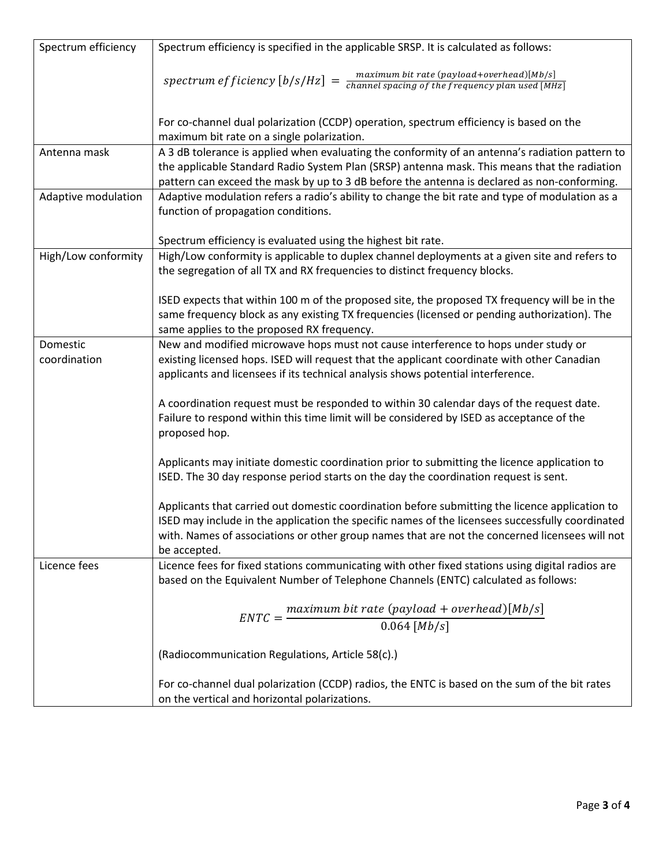| Spectrum efficiency | Spectrum efficiency is specified in the applicable SRSP. It is calculated as follows:                                               |
|---------------------|-------------------------------------------------------------------------------------------------------------------------------------|
|                     |                                                                                                                                     |
|                     | spectrum efficiency $[b/s/Hz] = \frac{maximum bit rate (payload+overhead)[Mb/s]}{channel spacing of the frequency plan used [MHz]}$ |
|                     |                                                                                                                                     |
|                     |                                                                                                                                     |
|                     | For co-channel dual polarization (CCDP) operation, spectrum efficiency is based on the                                              |
|                     | maximum bit rate on a single polarization.                                                                                          |
| Antenna mask        | A 3 dB tolerance is applied when evaluating the conformity of an antenna's radiation pattern to                                     |
|                     | the applicable Standard Radio System Plan (SRSP) antenna mask. This means that the radiation                                        |
|                     | pattern can exceed the mask by up to 3 dB before the antenna is declared as non-conforming.                                         |
| Adaptive modulation | Adaptive modulation refers a radio's ability to change the bit rate and type of modulation as a                                     |
|                     | function of propagation conditions.                                                                                                 |
|                     |                                                                                                                                     |
| High/Low conformity | Spectrum efficiency is evaluated using the highest bit rate.                                                                        |
|                     | High/Low conformity is applicable to duplex channel deployments at a given site and refers to                                       |
|                     | the segregation of all TX and RX frequencies to distinct frequency blocks.                                                          |
|                     | ISED expects that within 100 m of the proposed site, the proposed TX frequency will be in the                                       |
|                     | same frequency block as any existing TX frequencies (licensed or pending authorization). The                                        |
|                     | same applies to the proposed RX frequency.                                                                                          |
| Domestic            | New and modified microwave hops must not cause interference to hops under study or                                                  |
| coordination        | existing licensed hops. ISED will request that the applicant coordinate with other Canadian                                         |
|                     | applicants and licensees if its technical analysis shows potential interference.                                                    |
|                     |                                                                                                                                     |
|                     | A coordination request must be responded to within 30 calendar days of the request date.                                            |
|                     | Failure to respond within this time limit will be considered by ISED as acceptance of the                                           |
|                     | proposed hop.                                                                                                                       |
|                     |                                                                                                                                     |
|                     | Applicants may initiate domestic coordination prior to submitting the licence application to                                        |
|                     | ISED. The 30 day response period starts on the day the coordination request is sent.                                                |
|                     |                                                                                                                                     |
|                     | Applicants that carried out domestic coordination before submitting the licence application to                                      |
|                     | ISED may include in the application the specific names of the licensees successfully coordinated                                    |
|                     | with. Names of associations or other group names that are not the concerned licensees will not                                      |
| Licence fees        | be accepted.<br>Licence fees for fixed stations communicating with other fixed stations using digital radios are                    |
|                     | based on the Equivalent Number of Telephone Channels (ENTC) calculated as follows:                                                  |
|                     |                                                                                                                                     |
|                     | $ENTC = \frac{maximum bit rate (payload + overhead)[Mb/s]}{}$                                                                       |
|                     | $0.064$ [ <i>Mb/s</i> ]                                                                                                             |
|                     |                                                                                                                                     |
|                     | (Radiocommunication Regulations, Article 58(c).)                                                                                    |
|                     |                                                                                                                                     |
|                     | For co-channel dual polarization (CCDP) radios, the ENTC is based on the sum of the bit rates                                       |
|                     | on the vertical and horizontal polarizations.                                                                                       |